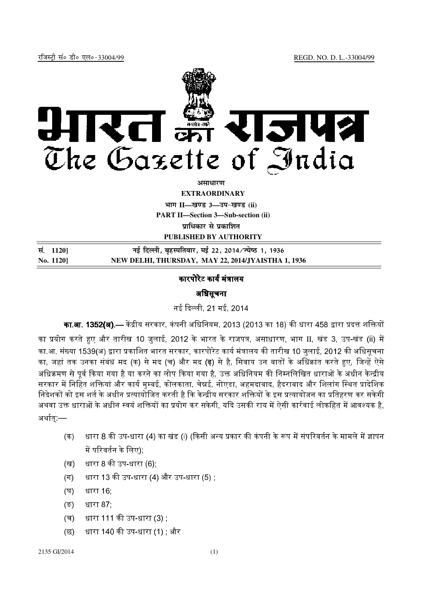

असाधा**र**ण

**EXTRAORDINARY**

**Hkkx II—[k.M 3—mi&[k.M (ii)**

**PART II—Section 3—Sub-section (ii)**

**<u>uाधिकार से प्रकाशित</u>** 

**PUBLISHED BY AUTHORITY**

| सं. 1120] | नई दिल्ली, बृहस्पतिवार, मई 22, 2014/ज्येष्ठ 1, 1936 |
|-----------|-----------------------------------------------------|
| No. 1120] | NEW DELHI, THURSDAY, MAY 22, 2014/JYAISTHA 1, 1936  |

## कारपोरेट कार्य मंत्रालय

## अधिसूचना

नई दिल्ली, 21 मई, 2014

**का.आ. 1352(अ).**— केंद्रीय सरकार, कंपनी अधिनियम, 2013 (2013 का 18) की धारा 458 द्वारा प्रदत्त शक्तियों

का प्रयोग करते हुए और तारीख 10 जुलाई, 2012 के भारत के राजपत्र, असाधारण, भाग II, खंड 3, उप-खंड (ii) में का.आ. संख्या 1539(अ) द्वारा प्रकाशित भारत सरकार, कारपोरेट कार्य मंत्रालय की तारीख 10 जुलाई, 2012 की अधिसचना का, जहां तक उनका संबंध मद (क) से मद (च) और मद <mark>(ढ़</mark>) से है, सिवाय उन बातों के अधिक्रांत करते हुए, जिन्हें ऐसे अधिक्रमण से पर्व किया गया है या करने का लोप किया गया है. उक्त अधिनियम की निम्नलिखित धाराओं के अधीन केन्द्रीय सरकार में निहित शक्तियां और कार्य मम्बई, कोलकाता, चेन्नई, नोएडा, अहमदाबाद, हैदराबाद और शिलांग स्थित प्रादेशिक, निदेशकों को इस शर्त के अधीन प्रत्यायोजित करती है कि केन्द्रीय सरकार शक्तियों के इस प्रत्यायोजन का प्रतिहरण कर सकेगी अथवा उक्त धाराओं के अधीन स्वयं शक्तियों का प्रयोग कर सकेगी. यदि उसकी राय में ऐसी कार्रवाई लोकहित में आवश्यक है. अर्थात:—

- (क) धारा 8 की उप-धारा (4) का खंड (i) (किसी अन्य प्रकार की कंपनी के रूप में संपरिवर्तन के मामले में ज्ञापन में परिवर्तन के लिए)<u>:</u>
- (ख) धारा 8 की उप-धारा (6);
- (ग) धारा 13 की उप-धारा (4) और उप-धारा (5) ;
- (घ) धारा 16;
- (ङ) धारा 87;
- (च) धारा 111 की उप-धारा (3) **:**
- (छ) धारा 140 की उप-धारा (1) : और

## 2135 GI/2014 (1)